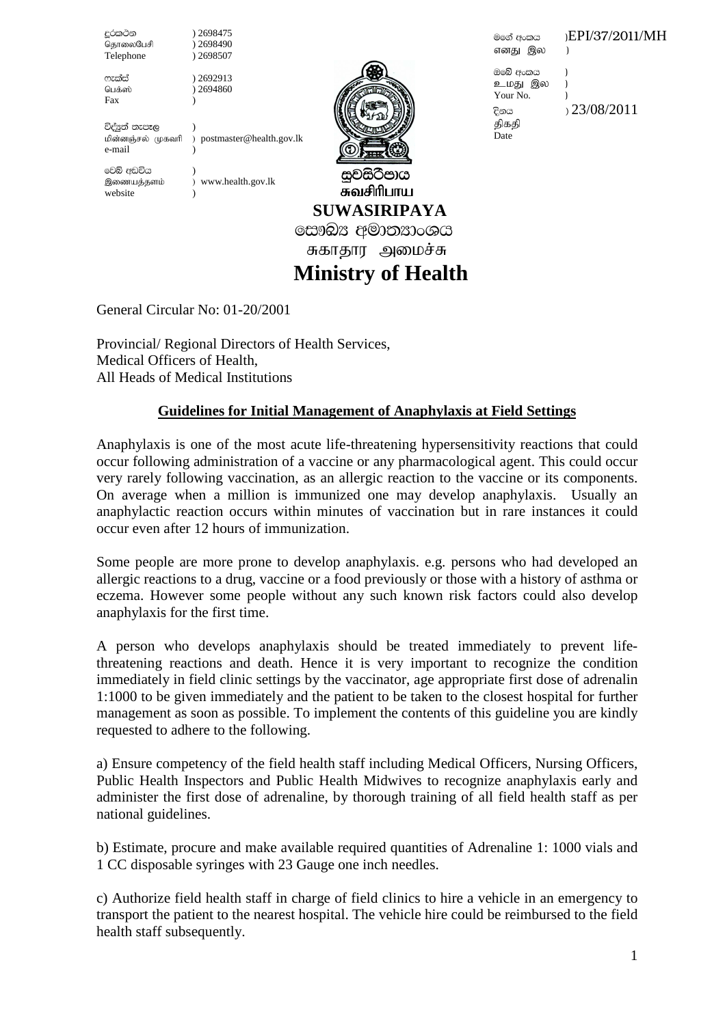දුරකථන ) 2698475<br><sub>ශිපා</sub>ලකාශිபජි ) 2698490 தொலைபேசி ) 2698490<br>Telephone ) 2698507  $Telephone$ 

\*elaia ) 2692913 பெக்ஸ் ) 2694860 Fax )

විද්යුත් නැපෑල ) kpd;dQ;ry; Kfthp ) postmaster@health.gov.lk e-mail )

වෙබ් අඩවිය website )

මගේ අංකය ) $EPI/37/2011/MH$ எனது இல )

ඔබේ අංකය ) உமது இல ) Your No. (a) திகதி Date

 $P_{\text{max}}$  23/08/2011

இணையத்தளம் ) www.health.gov.lk



சுவசிரிபாய  **SUWASIRIPAYA**

සෞඛ $x$  අමාතනාංශය

சுகாதார அமைச்சு

# **Ministry of Health**

General Circular No: 01-20/2001

Provincial/ Regional Directors of Health Services, Medical Officers of Health, All Heads of Medical Institutions

# **Guidelines for Initial Management of Anaphylaxis at Field Settings**

Anaphylaxis is one of the most acute life-threatening hypersensitivity reactions that could occur following administration of a vaccine or any pharmacological agent. This could occur very rarely following vaccination, as an allergic reaction to the vaccine or its components. On average when a million is immunized one may develop anaphylaxis. Usually an anaphylactic reaction occurs within minutes of vaccination but in rare instances it could occur even after 12 hours of immunization.

Some people are more prone to develop anaphylaxis. e.g. persons who had developed an allergic reactions to a drug, vaccine or a food previously or those with a history of asthma or eczema. However some people without any such known risk factors could also develop anaphylaxis for the first time.

A person who develops anaphylaxis should be treated immediately to prevent lifethreatening reactions and death. Hence it is very important to recognize the condition immediately in field clinic settings by the vaccinator, age appropriate first dose of adrenalin 1:1000 to be given immediately and the patient to be taken to the closest hospital for further management as soon as possible. To implement the contents of this guideline you are kindly requested to adhere to the following.

a) Ensure competency of the field health staff including Medical Officers, Nursing Officers, Public Health Inspectors and Public Health Midwives to recognize anaphylaxis early and administer the first dose of adrenaline, by thorough training of all field health staff as per national guidelines.

b) Estimate, procure and make available required quantities of Adrenaline 1: 1000 vials and 1 CC disposable syringes with 23 Gauge one inch needles.

c) Authorize field health staff in charge of field clinics to hire a vehicle in an emergency to transport the patient to the nearest hospital. The vehicle hire could be reimbursed to the field health staff subsequently.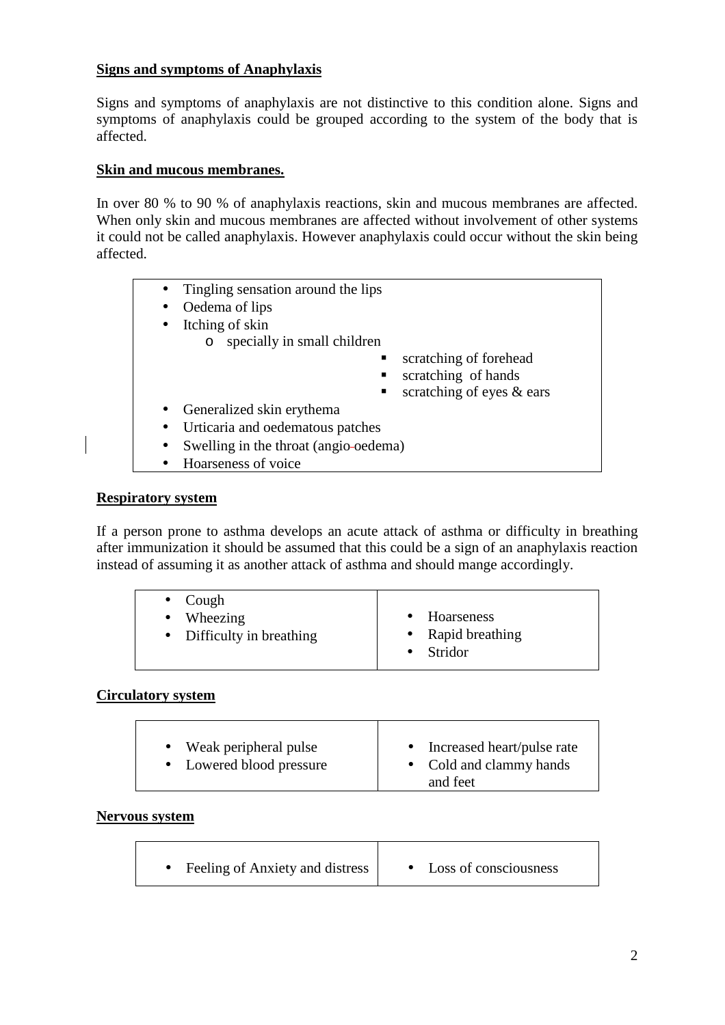## **Signs and symptoms of Anaphylaxis**

Signs and symptoms of anaphylaxis are not distinctive to this condition alone. Signs and symptoms of anaphylaxis could be grouped according to the system of the body that is affected.

## **Skin and mucous membranes.**

In over 80 % to 90 % of anaphylaxis reactions, skin and mucous membranes are affected. When only skin and mucous membranes are affected without involvement of other systems it could not be called anaphylaxis. However anaphylaxis could occur without the skin being affected.

- Oedema of lips
- Itching of skin
	- o specially in small children
		- scratching of forehead
		- scratching of hands
		- scratching of eyes  $&$  ears
- Generalized skin erythema
- Urticaria and oedematous patches
- Swelling in the throat (angio-oedema)
- Hoarseness of voice

### **Respiratory system**

If a person prone to asthma develops an acute attack of asthma or difficulty in breathing after immunization it should be assumed that this could be a sign of an anaphylaxis reaction instead of assuming it as another attack of asthma and should mange accordingly.

| $\bullet$ Cough           |                   |
|---------------------------|-------------------|
| $\bullet$ Wheezing        | • Hoarseness      |
| • Difficulty in breathing | • Rapid breathing |
|                           | $\bullet$ Stridor |
|                           |                   |

### **Circulatory system**

| • Weak peripheral pulse  | Increased heart/pulse rate<br>$\bullet$ |
|--------------------------|-----------------------------------------|
| • Lowered blood pressure | • Cold and clammy hands                 |
|                          | and feet                                |

### **Nervous system**

| Feeling of Anxiety and distress | Loss of consciousness |
|---------------------------------|-----------------------|
|---------------------------------|-----------------------|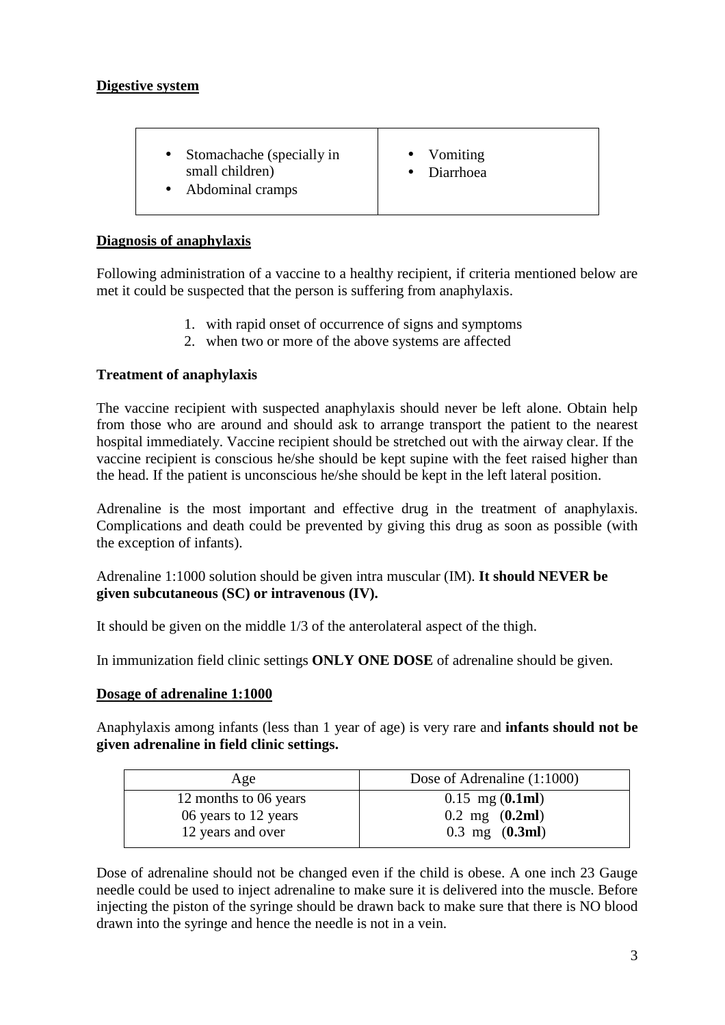## **Digestive system**

- Stomachache (specially in small children)
- Abdominal cramps
- Vomiting
- Diarrhoea
- 

# **Diagnosis of anaphylaxis**

Following administration of a vaccine to a healthy recipient, if criteria mentioned below are met it could be suspected that the person is suffering from anaphylaxis.

- 1. with rapid onset of occurrence of signs and symptoms
- 2. when two or more of the above systems are affected

# **Treatment of anaphylaxis**

The vaccine recipient with suspected anaphylaxis should never be left alone. Obtain help from those who are around and should ask to arrange transport the patient to the nearest hospital immediately. Vaccine recipient should be stretched out with the airway clear. If the vaccine recipient is conscious he/she should be kept supine with the feet raised higher than the head. If the patient is unconscious he/she should be kept in the left lateral position.

Adrenaline is the most important and effective drug in the treatment of anaphylaxis. Complications and death could be prevented by giving this drug as soon as possible (with the exception of infants).

Adrenaline 1:1000 solution should be given intra muscular (IM). **It should NEVER be given subcutaneous (SC) or intravenous (IV).** 

It should be given on the middle 1/3 of the anterolateral aspect of the thigh.

In immunization field clinic settings **ONLY ONE DOSE** of adrenaline should be given.

# **Dosage of adrenaline 1:1000**

Anaphylaxis among infants (less than 1 year of age) is very rare and **infants should not be given adrenaline in field clinic settings.** 

| Age                   | Dose of Adrenaline (1:1000)      |
|-----------------------|----------------------------------|
| 12 months to 06 years | $0.15$ mg $(0.1ml)$              |
| 06 years to 12 years  | $0.2 \text{ mg} (0.2 \text{ml})$ |
| 12 years and over     | $0.3 \text{ mg}$ (0.3ml)         |

Dose of adrenaline should not be changed even if the child is obese. A one inch 23 Gauge needle could be used to inject adrenaline to make sure it is delivered into the muscle. Before injecting the piston of the syringe should be drawn back to make sure that there is NO blood drawn into the syringe and hence the needle is not in a vein.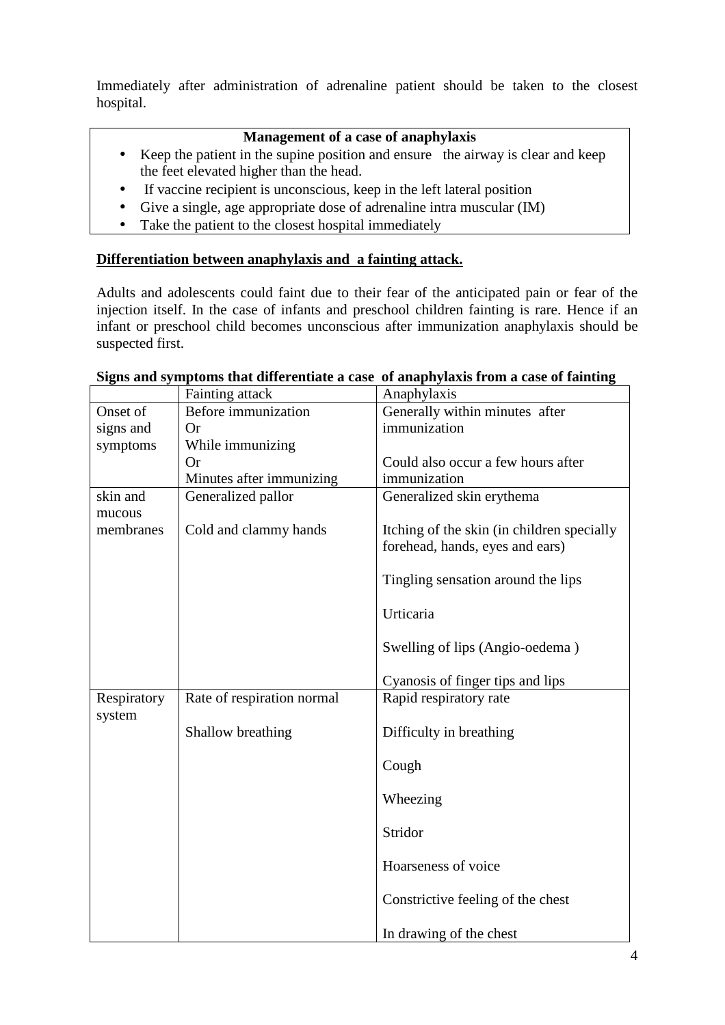Immediately after administration of adrenaline patient should be taken to the closest hospital.

## **Management of a case of anaphylaxis**

- Keep the patient in the supine position and ensure the airway is clear and keep the feet elevated higher than the head.
- If vaccine recipient is unconscious, keep in the left lateral position
- Give a single, age appropriate dose of adrenaline intra muscular (IM)
- Take the patient to the closest hospital immediately

## **Differentiation between anaphylaxis and a fainting attack.**

Adults and adolescents could faint due to their fear of the anticipated pain or fear of the injection itself. In the case of infants and preschool children fainting is rare. Hence if an infant or preschool child becomes unconscious after immunization anaphylaxis should be suspected first.

|             | Fainting attack            | Anaphylaxis                                |
|-------------|----------------------------|--------------------------------------------|
| Onset of    | Before immunization        | Generally within minutes after             |
| signs and   | <b>Or</b>                  | immunization                               |
| symptoms    | While immunizing           |                                            |
|             | <b>Or</b>                  | Could also occur a few hours after         |
|             | Minutes after immunizing   | immunization                               |
| skin and    | Generalized pallor         | Generalized skin erythema                  |
| mucous      |                            |                                            |
| membranes   | Cold and clammy hands      | Itching of the skin (in children specially |
|             |                            | forehead, hands, eyes and ears)            |
|             |                            |                                            |
|             |                            | Tingling sensation around the lips         |
|             |                            |                                            |
|             |                            | Urticaria                                  |
|             |                            |                                            |
|             |                            | Swelling of lips (Angio-oedema)            |
|             |                            |                                            |
|             |                            | Cyanosis of finger tips and lips           |
| Respiratory | Rate of respiration normal | Rapid respiratory rate                     |
| system      |                            |                                            |
|             | Shallow breathing          | Difficulty in breathing                    |
|             |                            |                                            |
|             |                            | Cough                                      |
|             |                            |                                            |
|             |                            | Wheezing                                   |
|             |                            | Stridor                                    |
|             |                            |                                            |
|             |                            | Hoarseness of voice                        |
|             |                            |                                            |
|             |                            | Constrictive feeling of the chest          |
|             |                            |                                            |
|             |                            | In drawing of the chest                    |

### **Signs and symptoms that differentiate a case of anaphylaxis from a case of fainting**